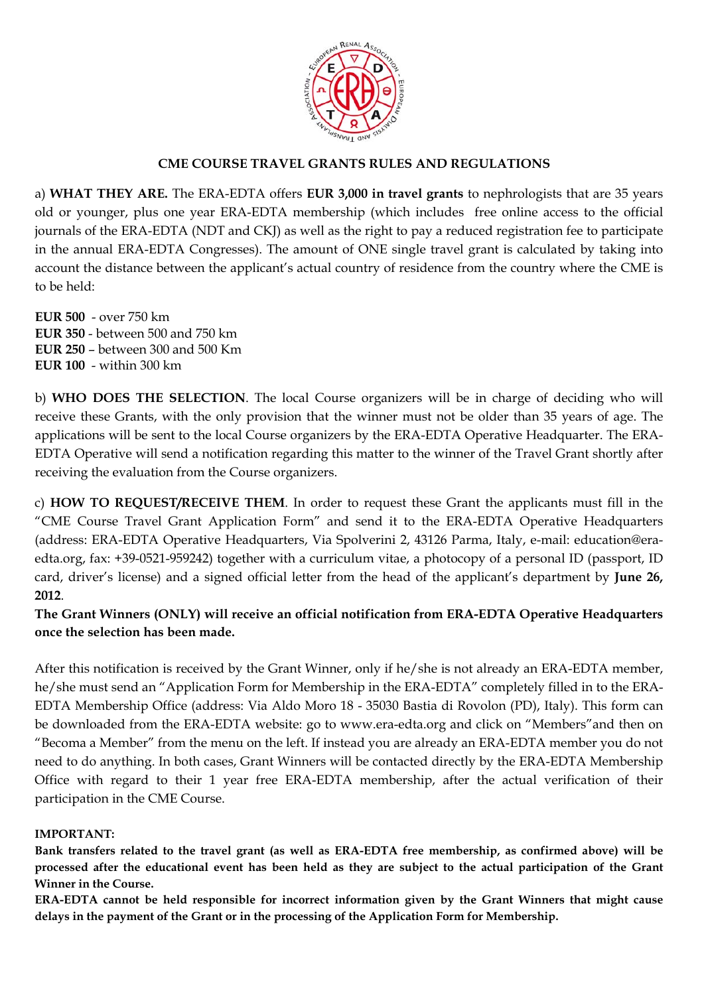

### **CME COURSE TRAVEL GRANTS RULES AND REGULATIONS**

a) **WHAT THEY ARE.** The ERA-EDTA offers **EUR 3,000 in travel grants** to nephrologists that are 35 years old or younger, plus one year ERA-EDTA membership (which includes free online access to the official journals of the ERA-EDTA (NDT and CKJ) as well as the right to pay a reduced registration fee to participate in the annual ERA-EDTA Congresses). The amount of ONE single travel grant is calculated by taking into account the distance between the applicant's actual country of residence from the country where the CME is to be held:

**EUR 500** - over 750 km **EUR 350** - between 500 and 750 km **EUR 250** – between 300 and 500 Km **EUR 100** - within 300 km

b) **WHO DOES THE SELECTION**. The local Course organizers will be in charge of deciding who will receive these Grants, with the only provision that the winner must not be older than 35 years of age. The applications will be sent to the local Course organizers by the ERA-EDTA Operative Headquarter. The ERA-EDTA Operative will send a notification regarding this matter to the winner of the Travel Grant shortly after receiving the evaluation from the Course organizers.

c) **HOW TO REQUEST/RECEIVE THEM**. In order to request these Grant the applicants must fill in the "CME Course Travel Grant Application Form" and send it to the ERA-EDTA Operative Headquarters (address: ERA-EDTA Operative Headquarters, Via Spolverini 2, 43126 Parma, Italy, e-mail: education@eraedta.org, fax: +39-0521-959242) together with a curriculum vitae, a photocopy of a personal ID (passport, ID card, driver's license) and a signed official letter from the head of the applicant's department by **June 26, 2012**.

**The Grant Winners (ONLY) will receive an official notification from ERA-EDTA Operative Headquarters once the selection has been made.** 

After this notification is received by the Grant Winner, only if he/she is not already an ERA-EDTA member, he/she must send an "Application Form for Membership in the ERA-EDTA" completely filled in to the ERA-EDTA Membership Office (address: Via Aldo Moro 18 - 35030 Bastia di Rovolon (PD), Italy). This form can be downloaded from the ERA-EDTA website: go to www.era-edta.org and click on "Members"and then on "Becoma a Member" from the menu on the left. If instead you are already an ERA-EDTA member you do not need to do anything. In both cases, Grant Winners will be contacted directly by the ERA-EDTA Membership Office with regard to their 1 year free ERA-EDTA membership, after the actual verification of their participation in the CME Course.

#### **IMPORTANT:**

**Bank transfers related to the travel grant (as well as ERA-EDTA free membership, as confirmed above) will be processed after the educational event has been held as they are subject to the actual participation of the Grant Winner in the Course.** 

**ERA-EDTA cannot be held responsible for incorrect information given by the Grant Winners that might cause delays in the payment of the Grant or in the processing of the Application Form for Membership.**